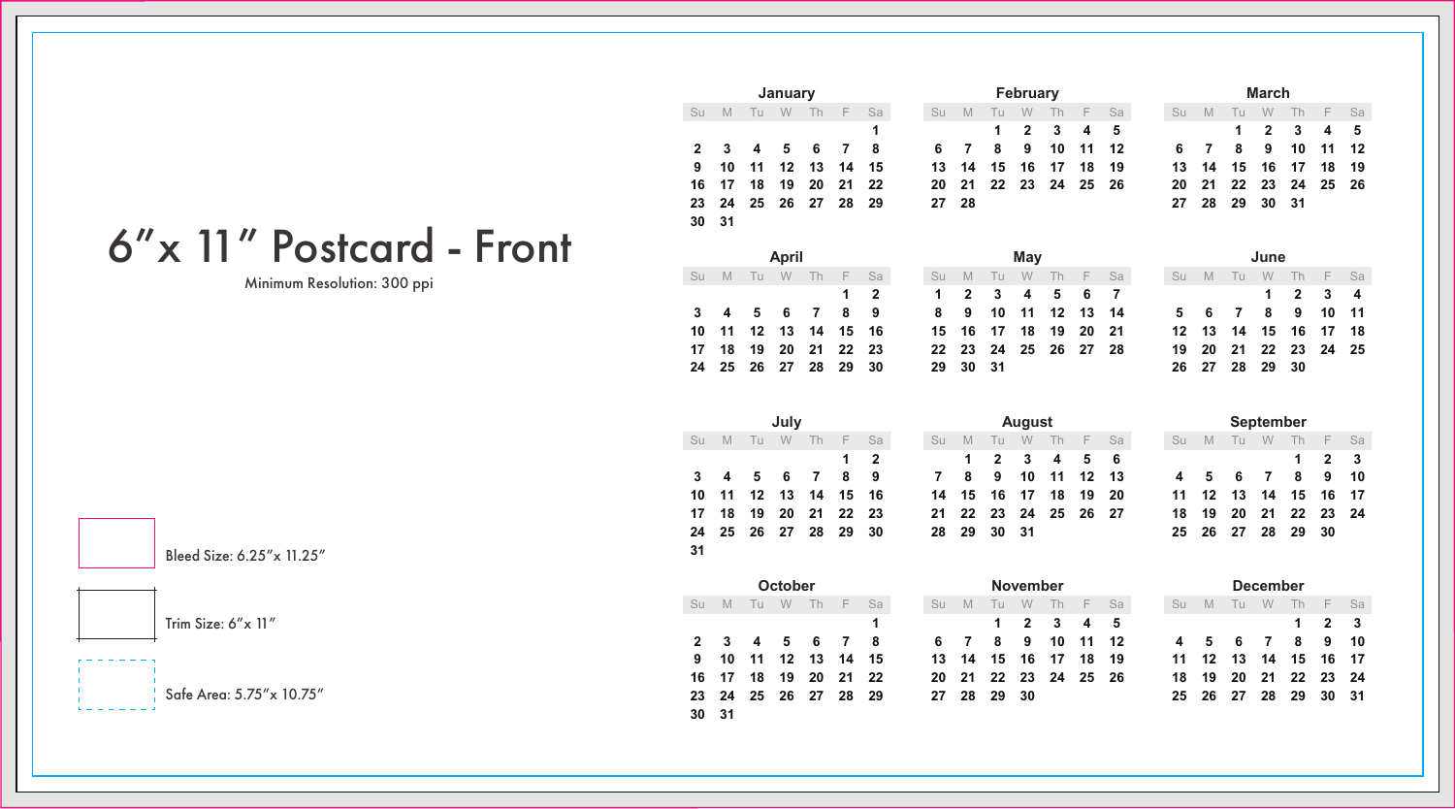## 6"x 11" Postcard - Front

Minimum Resolution: 300 ppi

Bleed Size: 6.25"x 11.25"

Trim Size: 6"x 11"

Safe Area: 5.75"x 10.75"

|       |     |      | January |    |                      |  |         |       | February |                      |  |      |                | March |  |
|-------|-----|------|---------|----|----------------------|--|---------|-------|----------|----------------------|--|------|----------------|-------|--|
| Su    | - M | Tu W |         | Th | F Sa                 |  | Su M Tu |       | <b>W</b> | Th F Sa              |  | Su M | Tu             | W Th  |  |
|       |     |      |         |    |                      |  |         |       |          | 1 2 3 4 5            |  |      | 1 2 3          |       |  |
|       |     |      |         |    | 2 3 4 5 6 7 8        |  |         |       |          | 6 7 8 9 10 11 12     |  |      | 6 7 8 9 10     |       |  |
|       |     |      |         |    | 9 10 11 12 13 14 15  |  |         |       |          | 13 14 15 16 17 18 19 |  |      | 13 14 15 16 17 |       |  |
|       |     |      |         |    | 16 17 18 19 20 21 22 |  |         |       |          | 20 21 22 23 24 25 26 |  |      | 20 21 22 23 24 |       |  |
|       |     |      |         |    | 23 24 25 26 27 28 29 |  |         | 27 28 |          |                      |  |      | 27 28 29 30 31 |       |  |
| 30 31 |     |      |         |    |                      |  |         |       |          |                      |  |      |                |       |  |
|       |     |      |         |    |                      |  |         |       |          |                      |  |      |                |       |  |

|  | April |                      |             |                    |                      | Mav |  |  |         |                    | June       |  |
|--|-------|----------------------|-------------|--------------------|----------------------|-----|--|--|---------|--------------------|------------|--|
|  |       | Su M Tu W Th F Sa    |             | Su M Tu W Th F Sa  |                      |     |  |  | Su M Tu |                    | W Th       |  |
|  |       |                      | $1 \quad 2$ |                    | 1 2 3 4 5 6 7        |     |  |  |         |                    | $1\quad 2$ |  |
|  |       | 3 4 5 6 7 8 9        |             | 8 9 10 11 12 13 14 |                      |     |  |  |         | 5 6 7 8 9          |            |  |
|  |       | 10 11 12 13 14 15 16 |             |                    | 15 16 17 18 19 20 21 |     |  |  |         | 12  13  14  15  16 |            |  |
|  |       | 17 18 19 20 21 22 23 |             |                    | 22 23 24 25 26 27 28 |     |  |  |         | 19 20 21 22 23     |            |  |
|  |       | 24 25 26 27 28 29 30 |             | 29 30 31           |                      |     |  |  |         | 26 27 28 29 30     |            |  |

|    |   |      | July     |      |                      |            |           |    |                | August   |    |                      |  |      |    |   | September         |                                            |    |
|----|---|------|----------|------|----------------------|------------|-----------|----|----------------|----------|----|----------------------|--|------|----|---|-------------------|--------------------------------------------|----|
| Su | M | - Tu | <b>W</b> | - Th |                      | F Sa       | <b>Su</b> | M  | Tu             | <b>W</b> | Th | F Sa                 |  | Su M | Tu | W | Th                | F.                                         | SS |
|    |   |      |          |      |                      | $1\quad 2$ |           |    |                |          |    | 1 2 3 4 5 6          |  |      |    |   |                   | $\begin{array}{ccc} 1 & 2 & 3 \end{array}$ |    |
|    |   |      |          |      | 3 4 5 6 7 8 9        |            |           | 78 | - 9            |          |    | 10 11 12 13          |  |      |    |   |                   | 4 5 6 7 8 9 10                             |    |
|    |   |      |          |      | 10 11 12 13 14 15 16 |            |           |    | 14  15  16  17 |          | 18 | 19 20                |  |      |    |   |                   | 11 12 13 14 15 16 17                       |    |
|    |   |      |          |      | 17 18 19 20 21 22 23 |            |           |    |                |          |    | 21 22 23 24 25 26 27 |  |      |    |   |                   | 18 19 20 21 22 23 24                       |    |
|    |   |      |          |      | 24 25 26 27 28 29 30 |            |           |    | 28 29 30 31    |          |    |                      |  |      |    |   | 25 26 27 28 29 30 |                                            |    |
|    |   |      |          |      |                      |            |           |    |                |          |    |                      |  |      |    |   |                   |                                            |    |

|              |    |                   | October |                |   |    |    |   |             | <b>November</b> |                      |       |      |
|--------------|----|-------------------|---------|----------------|---|----|----|---|-------------|-----------------|----------------------|-------|------|
| Su           | M  | Tu                | w       | - Th           | E | Sa | Su | M | Tu          | W               | Th                   | F     | - Sa |
|              |    |                   |         |                |   | 1  |    |   | 1.          | $\mathbf{2}$    | 3                    | 4     | - 5  |
| $\mathbf{2}$ | 3  |                   | 4 5     | 6              | 7 | -8 | 6  | 7 | 8           | 9               | 10                   | 11 12 |      |
| 9            | 10 |                   |         | 11 12 13 14 15 |   |    | 13 |   | 14 15 16 17 |                 |                      | 18    | 19   |
| 16           | 17 | 18                |         | 19 20 21 22    |   |    |    |   |             |                 | 20 21 22 23 24 25 26 |       |      |
| 23           |    | 24 25 26 27 28 29 |         |                |   |    | 27 |   | 28 29 30    |                 |                      |       |      |
| 30           | 31 |                   |         |                |   |    |    |   |             |                 |                      |       |      |

|  |                      | January |  |                   |                   |       | February |                      |  |                   |                | March |                      |  |
|--|----------------------|---------|--|-------------------|-------------------|-------|----------|----------------------|--|-------------------|----------------|-------|----------------------|--|
|  |                      |         |  | Su M Tu W Th F Sa | Su M Tu W Th F Sa |       |          |                      |  | Su M Tu W Th F Sa |                |       |                      |  |
|  |                      |         |  |                   |                   |       |          | 1 2 3 4 5            |  |                   |                |       | 1 2 3 4 5            |  |
|  | 2 3 4 5 6 7 8        |         |  |                   | 6 7 8 9 10 11 12  |       |          |                      |  | 6 7 8 9 10 11 12  |                |       |                      |  |
|  | 9 10 11 12 13 14 15  |         |  |                   |                   |       |          | 13 14 15 16 17 18 19 |  |                   |                |       | 13 14 15 16 17 18 19 |  |
|  | 16 17 18 19 20 21 22 |         |  |                   |                   |       |          | 20 21 22 23 24 25 26 |  |                   |                |       | 20 21 22 23 24 25 26 |  |
|  | 23 24 25 26 27 28 29 |         |  |                   |                   | 27 28 |          |                      |  |                   | 27 28 29 30 31 |       |                      |  |

|    | March                            |             |    |          |    |    |  |  |  |  |  |  |  |  |  |
|----|----------------------------------|-------------|----|----------|----|----|--|--|--|--|--|--|--|--|--|
| Su | Th<br>√P.<br>M<br>W<br>Sa<br>Tu  |             |    |          |    |    |  |  |  |  |  |  |  |  |  |
|    | $\mathbf{2}$<br>5<br>3<br>4<br>1 |             |    |          |    |    |  |  |  |  |  |  |  |  |  |
| 6  | 7                                | 11          | 12 |          |    |    |  |  |  |  |  |  |  |  |  |
| 13 | 14                               |             |    | 15 16 17 | 18 | 19 |  |  |  |  |  |  |  |  |  |
| 20 | 21                               | 22 23 24 25 |    |          |    | 26 |  |  |  |  |  |  |  |  |  |
| 27 | 28                               | 29          | 30 | 31       |    |    |  |  |  |  |  |  |  |  |  |

|       |                   |          |                      | Mav |  |  |  |  | June           |  |                      |  |
|-------|-------------------|----------|----------------------|-----|--|--|--|--|----------------|--|----------------------|--|
| F Sa  | Su M Tu W Th F Sa |          |                      |     |  |  |  |  |                |  | Su M Tu W Th F Sa    |  |
| 12    |                   |          | 1 2 3 4 5 6 7        |     |  |  |  |  |                |  | 1 2 3 4              |  |
| 89    |                   |          | 8 9 10 11 12 13 14   |     |  |  |  |  |                |  | 5 6 7 8 9 10 11      |  |
| 15 16 |                   |          | 15 16 17 18 19 20 21 |     |  |  |  |  |                |  | 12 13 14 15 16 17 18 |  |
| 22 23 |                   |          | 22 23 24 25 26 27 28 |     |  |  |  |  |                |  | 19 20 21 22 23 24 25 |  |
| 29 30 |                   | 29 30 31 |                      |     |  |  |  |  | 26 27 28 29 30 |  |                      |  |

|    |                  |          | <b>September</b> |             |      |    |
|----|------------------|----------|------------------|-------------|------|----|
| Su | M                | Tu       | W                | Th          | $-F$ | Sa |
|    |                  |          |                  | 1           | 2    | 3  |
| 4  | 5                | 6.       | $\overline{7}$   | 8           | 9    | 10 |
| 11 | 12 <sup>12</sup> |          |                  | 13 14 15    | 16   | 17 |
| 18 | 19               |          |                  | 20 21 22 23 |      | 24 |
| 25 |                  | 26 27 28 |                  | 29          | 30   |    |
|    |                  |          |                  |             |      |    |

|    |    |    |                      | <b>November</b> |             |          |      |     |       |      | <b>December</b> |           |                      |      |
|----|----|----|----------------------|-----------------|-------------|----------|------|-----|-------|------|-----------------|-----------|----------------------|------|
| sа | Su | M  | TH                   |                 | Th          | F        | Sa   | Su  | M     | Tu   | W               | <b>Th</b> | TE-                  | - Sa |
| 1  |    |    | $\mathbf 1$          |                 | $2 \quad 3$ | - 4      | - 5  |     |       |      |                 |           | $\overline{2}$       |      |
| 8  | 6. | 7  | 89                   |                 |             | 10 11 12 |      |     | 4 5 6 |      | $\overline{7}$  | - 8       | 9 10                 |      |
| 15 |    |    | 13 14 15 16 17 18    |                 |             |          | - 19 |     |       |      |                 |           | 11 12 13 14 15 16 17 |      |
| 22 |    |    | 20 21 22 23 24 25 26 |                 |             |          |      | 18  | 19    |      |                 |           | 20 21 22 23 24       |      |
| 29 | 27 | 28 | 29                   | -30             |             |          |      | 25. | 26    | - 27 | 28              | 29        | 30                   | - 31 |